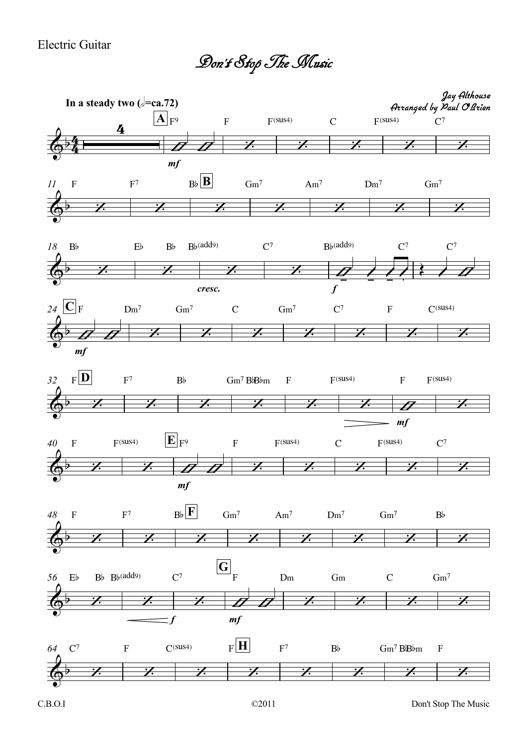## Electric Guitar

Don't StopTheMusic